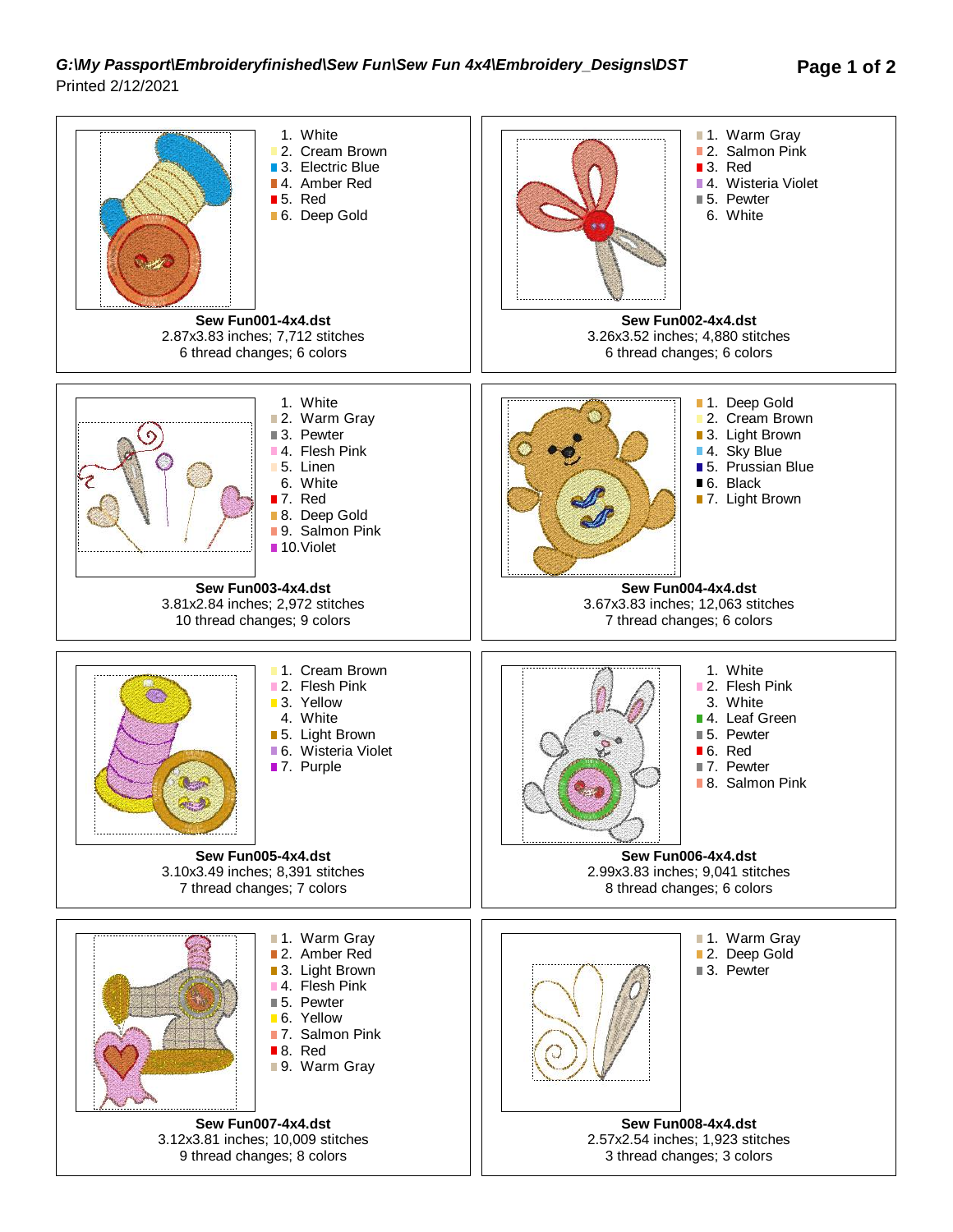## *G:\My Passport\Embroideryfinished\Sew Fun\Sew Fun 4x4\Embroidery\_Designs\DST* **Page 1 of 2** Printed 2/12/2021